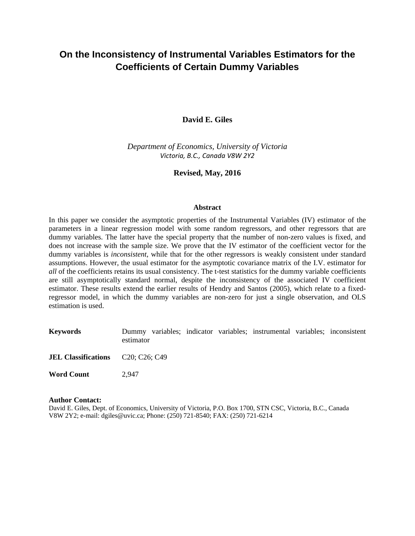# **On the Inconsistency of Instrumental Variables Estimators for the Coefficients of Certain Dummy Variables**

# **David E. Giles**

*Department of Economics, University of Victoria Victoria, B.C., Canada V8W 2Y2*

## **Revised, May, 2016**

#### **Abstract**

In this paper we consider the asymptotic properties of the Instrumental Variables (IV) estimator of the parameters in a linear regression model with some random regressors, and other regressors that are dummy variables. The latter have the special property that the number of non-zero values is fixed, and does not increase with the sample size. We prove that the IV estimator of the coefficient vector for the dummy variables is *inconsistent*, while that for the other regressors is weakly consistent under standard assumptions. However, the usual estimator for the asymptotic covariance matrix of the I.V. estimator for *all* of the coefficients retains its usual consistency. The t-test statistics for the dummy variable coefficients are still asymptotically standard normal, despite the inconsistency of the associated IV coefficient estimator. These results extend the earlier results of Hendry and Santos (2005), which relate to a fixedregressor model, in which the dummy variables are non-zero for just a single observation, and OLS estimation is used.

**Keywords** Dummy variables; indicator variables; instrumental variables; inconsistent estimator **JEL Classifications C20**; C26; C49 **Word Count** 2,947

#### **Author Contact:**

David E. Giles, Dept. of Economics, University of Victoria, P.O. Box 1700, STN CSC, Victoria, B.C., Canada V8W 2Y2; e-mail: dgiles@uvic.ca; Phone: (250) 721-8540; FAX: (250) 721-6214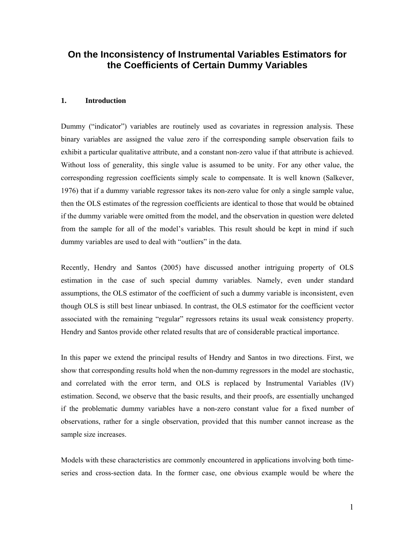# **On the Inconsistency of Instrumental Variables Estimators for the Coefficients of Certain Dummy Variables**

# **1. Introduction**

Dummy ("indicator") variables are routinely used as covariates in regression analysis. These binary variables are assigned the value zero if the corresponding sample observation fails to exhibit a particular qualitative attribute, and a constant non-zero value if that attribute is achieved. Without loss of generality, this single value is assumed to be unity. For any other value, the corresponding regression coefficients simply scale to compensate. It is well known (Salkever, 1976) that if a dummy variable regressor takes its non-zero value for only a single sample value, then the OLS estimates of the regression coefficients are identical to those that would be obtained if the dummy variable were omitted from the model, and the observation in question were deleted from the sample for all of the model's variables. This result should be kept in mind if such dummy variables are used to deal with "outliers" in the data.

Recently, Hendry and Santos (2005) have discussed another intriguing property of OLS estimation in the case of such special dummy variables. Namely, even under standard assumptions, the OLS estimator of the coefficient of such a dummy variable is inconsistent, even though OLS is still best linear unbiased. In contrast, the OLS estimator for the coefficient vector associated with the remaining "regular" regressors retains its usual weak consistency property. Hendry and Santos provide other related results that are of considerable practical importance.

In this paper we extend the principal results of Hendry and Santos in two directions. First, we show that corresponding results hold when the non-dummy regressors in the model are stochastic, and correlated with the error term, and OLS is replaced by Instrumental Variables (IV) estimation. Second, we observe that the basic results, and their proofs, are essentially unchanged if the problematic dummy variables have a non-zero constant value for a fixed number of observations, rather for a single observation, provided that this number cannot increase as the sample size increases.

Models with these characteristics are commonly encountered in applications involving both timeseries and cross-section data. In the former case, one obvious example would be where the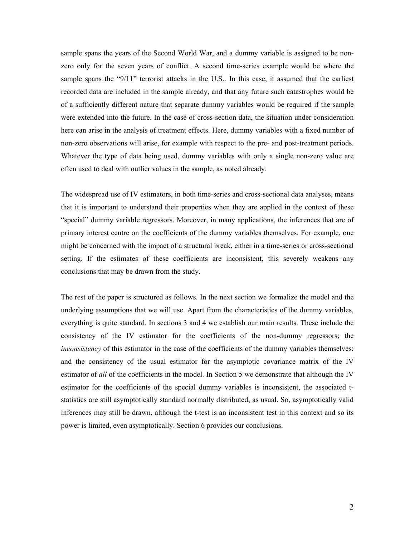sample spans the years of the Second World War, and a dummy variable is assigned to be nonzero only for the seven years of conflict. A second time-series example would be where the sample spans the "9/11" terrorist attacks in the U.S.. In this case, it assumed that the earliest recorded data are included in the sample already, and that any future such catastrophes would be of a sufficiently different nature that separate dummy variables would be required if the sample were extended into the future. In the case of cross-section data, the situation under consideration here can arise in the analysis of treatment effects. Here, dummy variables with a fixed number of non-zero observations will arise, for example with respect to the pre- and post-treatment periods. Whatever the type of data being used, dummy variables with only a single non-zero value are often used to deal with outlier values in the sample, as noted already.

The widespread use of IV estimators, in both time-series and cross-sectional data analyses, means that it is important to understand their properties when they are applied in the context of these "special" dummy variable regressors. Moreover, in many applications, the inferences that are of primary interest centre on the coefficients of the dummy variables themselves. For example, one might be concerned with the impact of a structural break, either in a time-series or cross-sectional setting. If the estimates of these coefficients are inconsistent, this severely weakens any conclusions that may be drawn from the study.

The rest of the paper is structured as follows. In the next section we formalize the model and the underlying assumptions that we will use. Apart from the characteristics of the dummy variables, everything is quite standard. In sections 3 and 4 we establish our main results. These include the consistency of the IV estimator for the coefficients of the non-dummy regressors; the *inconsistency* of this estimator in the case of the coefficients of the dummy variables themselves; and the consistency of the usual estimator for the asymptotic covariance matrix of the IV estimator of *all* of the coefficients in the model. In Section 5 we demonstrate that although the IV estimator for the coefficients of the special dummy variables is inconsistent, the associated tstatistics are still asymptotically standard normally distributed, as usual. So, asymptotically valid inferences may still be drawn, although the t-test is an inconsistent test in this context and so its power is limited, even asymptotically. Section 6 provides our conclusions.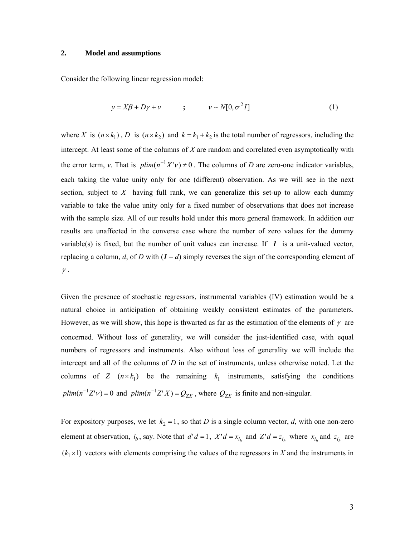### **2. Model and assumptions**

Consider the following linear regression model:

$$
y = X\beta + D\gamma + \nu \qquad ; \qquad \nu \sim N[0, \sigma^2 I] \tag{1}
$$

where *X* is  $(n \times k_1)$ , *D* is  $(n \times k_2)$  and  $k = k_1 + k_2$  is the total number of regressors, including the intercept. At least some of the columns of *X* are random and correlated even asymptotically with the error term, *v*. That is  $plim(n^{-1}X'v) \neq 0$ . The columns of *D* are zero-one indicator variables, each taking the value unity only for one (different) observation. As we will see in the next section, subject to *X* having full rank, we can generalize this set-up to allow each dummy variable to take the value unity only for a fixed number of observations that does not increase with the sample size. All of our results hold under this more general framework. In addition our results are unaffected in the converse case where the number of zero values for the dummy variable(s) is fixed, but the number of unit values can increase. If *1* is a unit-valued vector, replacing a column, *d*, of *D* with  $(I - d)$  simply reverses the sign of the corresponding element of  $\gamma$  .

Given the presence of stochastic regressors, instrumental variables (IV) estimation would be a natural choice in anticipation of obtaining weakly consistent estimates of the parameters. However, as we will show, this hope is thwarted as far as the estimation of the elements of  $\gamma$  are concerned. Without loss of generality, we will consider the just-identified case, with equal numbers of regressors and instruments. Also without loss of generality we will include the intercept and all of the columns of *D* in the set of instruments, unless otherwise noted. Let the columns of *Z*  $(n \times k_1)$  be the remaining  $k_1$  instruments, satisfying the conditions  $plim(n^{-1}Z'v) = 0$  and  $plim(n^{-1}Z'X) = Q_{ZX}$ , where  $Q_{ZX}$  is finite and non-singular.

For expository purposes, we let  $k_2 = 1$ , so that *D* is a single column vector, *d*, with one non-zero element at observation,  $i_b$ , say. Note that  $d'd = 1$ ,  $X'd = x_{i_b}$  and  $Z'd = z_{i_b}$  where  $x_{i_b}$  and  $z_{i_b}$  are  $(k_1 \times 1)$  vectors with elements comprising the values of the regressors in *X* and the instruments in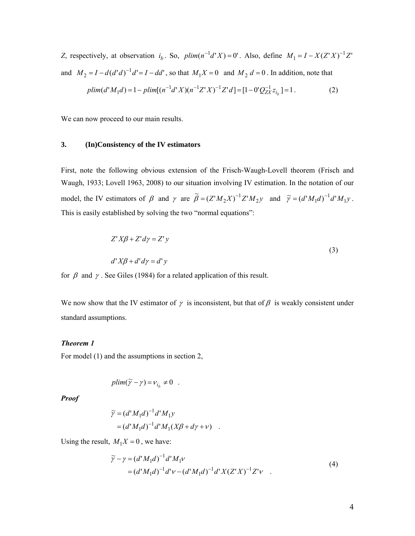*Z*, respectively, at observation  $i_b$ . So,  $plim(n^{-1}d'X) = 0'$ . Also, define  $M_1 = I - X(Z'X)^{-1}Z'$ and  $M_2 = I - d(d'd)^{-1}d' = I - dd'$ , so that  $M_1X = 0$  and  $M_2d = 0$ . In addition, note that

$$
plim(d'M_1d) = 1 - plim[(n^{-1}d'X)(n^{-1}Z'X)^{-1}Z'd] = [1 - 0'Q_{ZX}^{-1}z_{i_b}] = 1.
$$
 (2)

We can now proceed to our main results.

#### **3. (In)Consistency of the IV estimators**

First, note the following obvious extension of the Frisch-Waugh-Lovell theorem (Frisch and Waugh, 1933; Lovell 1963, 2008) to our situation involving IV estimation. In the notation of our model, the IV estimators of  $\beta$  and  $\gamma$  are  $\tilde{\beta} = (Z'M_2X)^{-1}Z'M_2y$  and  $\tilde{\gamma} = (d'M_1d)^{-1}d'M_1y$ . This is easily established by solving the two "normal equations":

$$
Z' X \beta + Z' d\gamma = Z' y
$$
  
\n
$$
d' X \beta + d' d\gamma = d' y
$$
\n(3)

for  $\beta$  and  $\gamma$ . See Giles (1984) for a related application of this result.

We now show that the IV estimator of  $\gamma$  is inconsistent, but that of  $\beta$  is weakly consistent under standard assumptions.

### *Theorem 1*

For model (1) and the assumptions in section 2,

$$
plim(\widetilde{\gamma} - \gamma) = v_{i_b} \neq 0 \quad .
$$

*Proof* 

$$
\widetilde{\gamma} = (d^{\dagger} M_1 d)^{-1} d^{\dagger} M_1 y
$$
  
=  $(d^{\dagger} M_1 d)^{-1} d^{\dagger} M_1 (X\beta + d\gamma + v)$ .

Using the result,  $M_1X = 0$ , we have:

$$
\widetilde{\gamma} - \gamma = (d^{\dagger} M_1 d)^{-1} d^{\dagger} M_1 \nu
$$
  
=  $(d^{\dagger} M_1 d)^{-1} d^{\dagger} \nu - (d^{\dagger} M_1 d)^{-1} d^{\dagger} X (Z^{\dagger} X)^{-1} Z^{\dagger} \nu$  (4)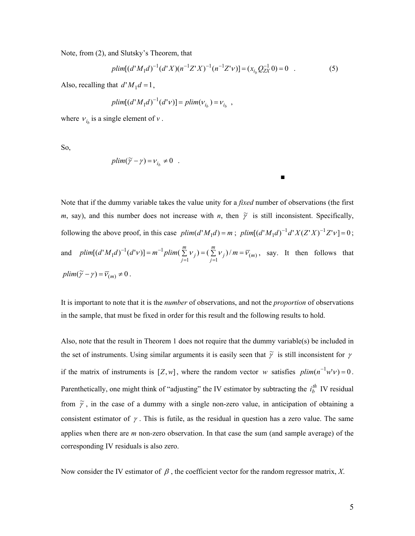Note, from (2), and Slutsky's Theorem, that

$$
plim[(d'M_1d)^{-1}(d'X)(n^{-1}Z'X)^{-1}(n^{-1}Z'\nu)] = (x_{i_b}Q_{ZX}^{-1}0) = 0
$$
\n(5)

Also, recalling that  $d'M_1d = 1$ ,

$$
plim[(d'M_1d)^{-1}(d'v)] = plim(v_{i_b}) = v_{i_b}
$$
,

■

where  $v_{i}$  is a single element of *v*.

So,

$$
plim(\widetilde{\gamma} - \gamma) = v_{i_b} \neq 0 \quad .
$$

Note that if the dummy variable takes the value unity for a *fixed* number of observations (the first *m*, say), and this number does not increase with *n*, then  $\tilde{\gamma}$  is still inconsistent. Specifically, following the above proof, in this case  $plim(d'M_1d) = m$ ;  $plim[(d'M_1d)^{-1}d'X(Z'X)^{-1}Z'\nu] = 0$ ; and  $plim[(d'M_1d)^{-1}(d'v)] = m^{-1}plim(\sum_{j=1}^{m}v_j) = (\sum_{j=1}^{m}v_j)/m = \overline{v}_{(m)}$  $\sum_{j=1}^{L} V_j$ *m*  $plim[(d'M_1d)^{-1}(d'v)] = m^{-1}plim(\sum_{j=1}^{m}v_j) = (\sum_{j=1}^{m}v_j)/m = \overline{v}_{(m)},$  say. It then follows that  $plim(\widetilde{\gamma} - \gamma) = \overline{v}_{(m)} \neq 0$ .

It is important to note that it is the *number* of observations, and not the *proportion* of observations in the sample, that must be fixed in order for this result and the following results to hold.

Also, note that the result in Theorem 1 does not require that the dummy variable(s) be included in the set of instruments. Using similar arguments it is easily seen that  $\tilde{\gamma}$  is still inconsistent for  $\gamma$ if the matrix of instruments is  $[Z, w]$ , where the random vector *w* satisfies  $plim(n^{-1}w'v) = 0$ . Parenthetically, one might think of "adjusting" the IV estimator by subtracting the  $i_b^{th}$  IV residual from  $\tilde{\gamma}$ , in the case of a dummy with a single non-zero value, in anticipation of obtaining a consistent estimator of  $\gamma$ . This is futile, as the residual in question has a zero value. The same applies when there are *m* non-zero observation. In that case the sum (and sample average) of the corresponding IV residuals is also zero.

Now consider the IV estimator of  $\beta$ , the coefficient vector for the random regressor matrix, *X*.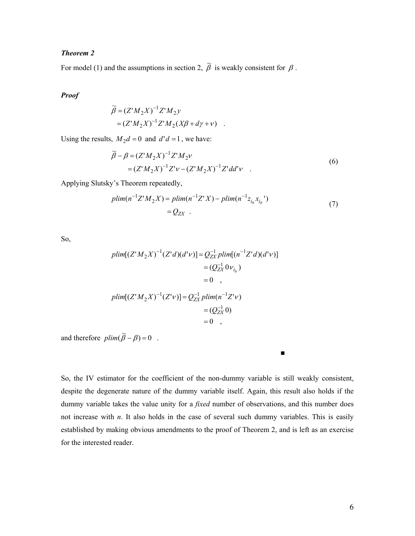# *Theorem 2*

For model (1) and the assumptions in section 2,  $\tilde{\beta}$  is weakly consistent for  $\beta$ .

### *Proof*

$$
\widetilde{\beta} = (Z'M_2X)^{-1}Z'M_2y
$$
  
=  $(Z'M_2X)^{-1}Z'M_2(X\beta + d\gamma + v)$ .

Using the results,  $M_2d = 0$  and  $d'd = 1$ , we have:

$$
\widetilde{\beta} - \beta = (Z'M_2X)^{-1}Z'M_2v
$$
  
=  $(Z'M_2X)^{-1}Z'\nu - (Z'M_2X)^{-1}Z'dd'\nu$  (6)

Applying Slutsky's Theorem repeatedly,

$$
plim(n^{-1}Z'M_2X) = plim(n^{-1}Z'X) - plim(n^{-1}z_{i_b}x_{i_b})
$$
  
=  $Q_{ZX}$  (7)

So,

$$
plim[(Z'M_2X)^{-1}(Z'd)(d'v)] = Q_{ZX}^{-1}plim[(n^{-1}Z'd)(d'v)]
$$
  
\n
$$
= (Q_{ZX}^{-1}0v_{i_b})
$$
  
\n
$$
= 0
$$
  
\n
$$
plim[(Z'M_2X)^{-1}(Z'v)] = Q_{ZX}^{-1}plim(n^{-1}Z'v)
$$
  
\n
$$
= (Q_{ZX}^{-1}0)
$$
  
\n
$$
= 0
$$

and therefore  $plim(\widetilde{\beta} - \beta) = 0$ .

So, the IV estimator for the coefficient of the non-dummy variable is still weakly consistent, despite the degenerate nature of the dummy variable itself. Again, this result also holds if the dummy variable takes the value unity for a *fixed* number of observations, and this number does not increase with *n*. It also holds in the case of several such dummy variables. This is easily established by making obvious amendments to the proof of Theorem 2, and is left as an exercise for the interested reader.

■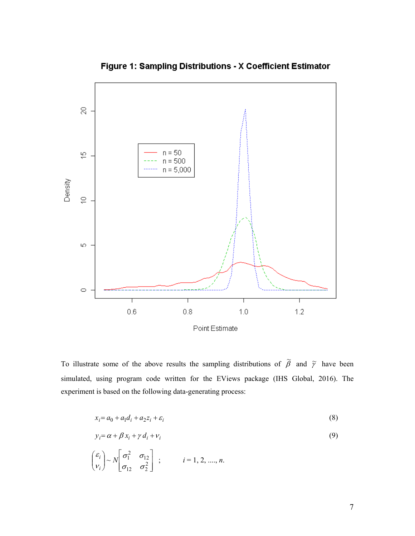

Figure 1: Sampling Distributions - X Coefficient Estimator

To illustrate some of the above results the sampling distributions of  $\tilde{\beta}$  and  $\tilde{\gamma}$  have been simulated, using program code written for the EViews package (IHS Global, 2016). The experiment is based on the following data-generating process:

$$
x_i = a_0 + a_1 d_i + a_2 z_i + \varepsilon_i \tag{8}
$$

$$
y_i = \alpha + \beta x_i + \gamma d_i + v_i \tag{9}
$$

$$
\begin{pmatrix} \varepsilon_i \\ v_i \end{pmatrix} \sim N \begin{bmatrix} \sigma_1^2 & \sigma_{12} \\ \sigma_{12} & \sigma_2^2 \end{bmatrix} \; ; \qquad i = 1, 2, \dots, n.
$$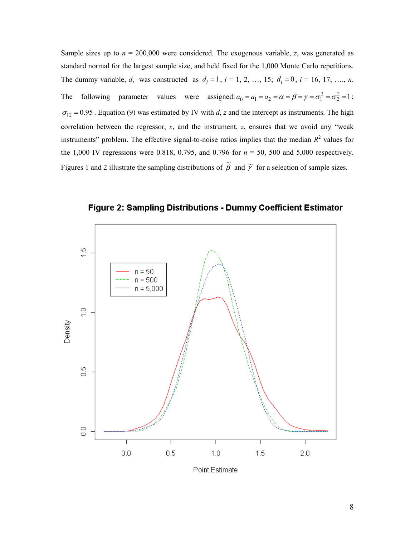Sample sizes up to  $n = 200,000$  were considered. The exogenous variable, *z*, was generated as standard normal for the largest sample size, and held fixed for the 1,000 Monte Carlo repetitions. The dummy variable, *d*, was constructed as  $d_i = 1$ ,  $i = 1, 2, ..., 15$ ;  $d_i = 0$ ,  $i = 16, 17, ..., n$ . The following parameter values were assigned:  $a_0 = a_1 = a_2 = \alpha = \beta = \gamma = \sigma_1^2 = \sigma_2^2 = 1$ ;  $\sigma_{12} = 0.95$ . Equation (9) was estimated by IV with *d*, *z* and the intercept as instruments. The high correlation between the regressor, *x*, and the instrument, *z*, ensures that we avoid any "weak instruments" problem. The effective signal-to-noise ratios implies that the median  $R^2$  values for the 1,000 IV regressions were 0.818, 0.795, and 0.796 for  $n = 50$ , 500 and 5,000 respectively. Figures 1 and 2 illustrate the sampling distributions of  $\tilde{\beta}$  and  $\tilde{\gamma}$  for a selection of sample sizes.

Figure 2: Sampling Distributions - Dummy Coefficient Estimator

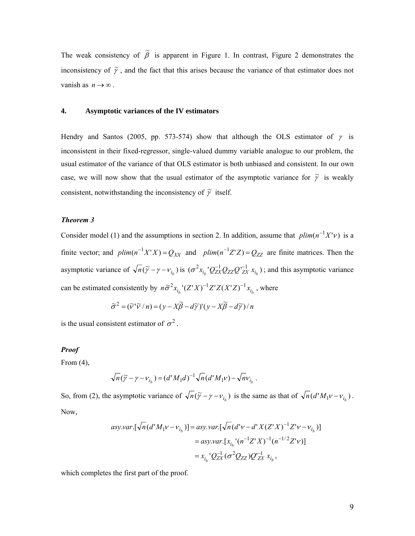The weak consistency of  $\tilde{\beta}$  is apparent in Figure 1. In contrast, Figure 2 demonstrates the inconsistency of  $\tilde{\gamma}$ , and the fact that this arises because the variance of that estimator does not vanish as  $n \to \infty$ .

#### **4. Asymptotic variances of the IV estimators**

Hendry and Santos (2005, pp. 573-574) show that although the OLS estimator of  $\gamma$  is inconsistent in their fixed-regressor, single-valued dummy variable analogue to our problem, the usual estimator of the variance of that OLS estimator is both unbiased and consistent. In our own case, we will now show that the usual estimator of the asymptotic variance for  $\tilde{\gamma}$  is weakly consistent, notwithstanding the inconsistency of  $\tilde{\gamma}$  itself.

#### *Theorem 3*

Consider model (1) and the assumptions in section 2. In addition, assume that  $plim (n^{-1}X'v)$  is a finite vector; and  $plim(n^{-1}X'X) = Q_{XX}$  and  $plim(n^{-1}Z'Z) = Q_{ZZ}$  are finite matrices. Then the asymptotic variance of  $\sqrt{n}(\tilde{\gamma} - \gamma - v_{i_b})$  is  $(\sigma^2 x_{i_b} \,^1 Q_{ZX}^{-1} Q_{ZZ} Q_{ZZ}^{-1} x_{i_b})$ ; and this asymptotic variance can be estimated consistently by  $n\tilde{\sigma}^2 x_{i_b} (Z'X)^{-1}Z'Z(X'Z)^{-1}x_{i_b}$ , where

$$
\widetilde{\sigma}^2 = (\widetilde{\nu}^{\,\prime}\widetilde{\nu}\,/\,n) = (\mathbf{y} - \mathbf{X}\widetilde{\beta} - d\widetilde{\gamma})^{\prime}(\mathbf{y} - \mathbf{X}\widetilde{\beta} - d\widetilde{\gamma})/\,n
$$

is the usual consistent estimator of  $\sigma^2$ .

#### *Proof*

From (4),

$$
\sqrt{n}(\widetilde{\gamma}-\gamma-\nu_{i_b})=(d'M_1d)^{-1}\sqrt{n}(d'M_1\nu)-\sqrt{n}\nu_{i_b}.
$$

So, from (2), the asymptotic variance of  $\sqrt{n}(\tilde{\gamma} - \gamma - v_{i_b})$  is the same as that of  $\sqrt{n}(d'M_1v - v_{i_b})$ . Now,

$$
asy.var.[\sqrt{n}(d'M_1v-v_{i_b})] = asy.var.[\sqrt{n}(d'v-d'X(Z'X)^{-1}Z'v-v_{i_b})]
$$
  
=  $asy.var.[x_{i_b}:(n^{-1}Z'X)^{-1}(n^{-1/2}Z'v)]$   
=  $x_{i_b} \cdot Q_{ZX}^{-1}(\sigma^2 Q_{ZZ})Q_{ZX}^{-1}x_{i_b}$ ,

which completes the first part of the proof.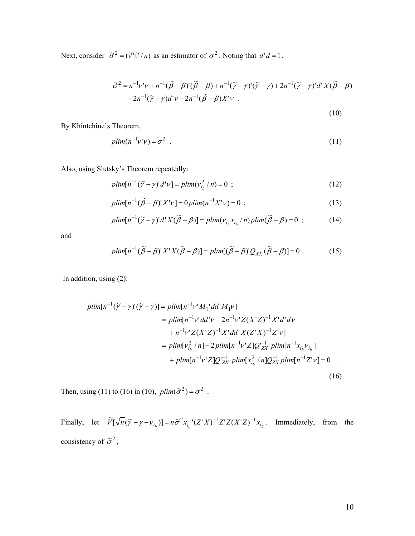Next, consider  $\tilde{\sigma}^2 = (\tilde{v}' \tilde{v}/n)$  as an estimator of  $\sigma^2$ . Noting that  $d'd = 1$ ,

$$
\widetilde{\sigma}^2 = n^{-1} \nu^{\nu} \nu + n^{-1} (\widetilde{\beta} - \beta)^{\nu} (\widetilde{\beta} - \beta) + n^{-1} (\widetilde{\gamma} - \gamma)^{\nu} (\widetilde{\gamma} - \gamma) + 2n^{-1} (\widetilde{\gamma} - \gamma)^{\nu} d^{\nu} X (\widetilde{\beta} - \beta) - 2n^{-1} (\widetilde{\gamma} - \gamma) d^{\nu} \nu - 2n^{-1} (\widetilde{\beta} - \beta) X^{\nu} \nu.
$$

$$
(10)
$$

By Khintchine's Theorem,

$$
plim(n^{-1}v'v) = \sigma^2 \tag{11}
$$

Also, using Slutsky's Theorem repeatedly:

$$
plim[n^{-1}(\widetilde{\gamma}-\gamma)'d'\nu] = plim(\nu_{i_b}^2/n) = 0 ; \qquad (12)
$$

$$
plim[n^{-1}(\widetilde{\beta}-\beta)'X'v] = 0plim(n^{-1}X'v) = 0 ; \qquad (13)
$$

$$
plim[n^{-1}(\widetilde{\gamma}-\gamma)'d'X(\widetilde{\beta}-\beta)]=plim(v_{i_b}x_{i_b}/n)plim(\widetilde{\beta}-\beta)=0 ; \qquad (14)
$$

and

$$
plim[n^{-1}(\widetilde{\beta}-\beta)'X'X(\widetilde{\beta}-\beta)]=plim[(\widetilde{\beta}-\beta)Q_{XX}(\widetilde{\beta}-\beta)]=0.
$$
 (15)

In addition, using (2):

$$
plim[n^{-1}(\widetilde{\gamma} - \gamma)^{t}(\widetilde{\gamma} - \gamma)] = plim[n^{-1}v^{t}M_{1}^{t}dd^{t}M_{1}v]
$$
  
\n
$$
= plim[n^{-1}v^{t}dd^{t}v - 2n^{-1}v^{t}Z(X^{t}Z)^{-1}X^{t}d^{t}dv
$$
  
\n
$$
+ n^{-1}v^{t}Z(X^{t}Z)^{-1}X^{t}dd^{t}X(Z^{t}X)^{-1}Z^{t}v]
$$
  
\n
$$
= plim[v_{i_{b}}^{2}/n] - 2plim[n^{-1}v^{t}Z]Q_{ZX}^{-1}plim[n^{-1}x_{i_{b}}v_{i_{b}}]
$$
  
\n
$$
+ plim[n^{-1}v^{t}Z]Q_{ZX}^{-1}plim[x_{i_{b}}^{2}/n]Q_{ZX}^{-1}plim[n^{-1}Z^{t}v] = 0
$$
 (16)

Then, using (11) to (16) in (10),  $plim(\tilde{\sigma}^2) = \sigma^2$ .

Finally, let  $\widetilde{V}[\sqrt{n}(\widetilde{\gamma}-\gamma-\nu_{i_b})]=n\widetilde{\sigma}^2 x_{i_b} (Z'X)^{-1}Z'Z(X'Z)^{-1}x_{i_b}$ . Immediately, from the consistency of  $\tilde{\sigma}^2$ ,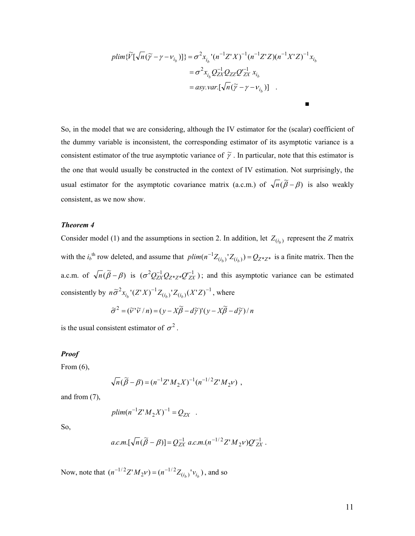$$
plim\{\widetilde{V}[\sqrt{n}(\widetilde{\gamma} - \gamma - \nu_{i_b})]\} = \sigma^2 x_{i_b} (n^{-1}Z'X)^{-1}(n^{-1}Z'Z)(n^{-1}X'Z)^{-1}x_{i_b}
$$
  

$$
= \sigma^2 x_{i_b} Q_{ZX}^{-1} Q_{ZZ} Q_{ZX}^{-1} x_{i_b}
$$
  

$$
= \text{asy.} \text{var.}[\sqrt{n}(\widetilde{\gamma} - \gamma - \nu_{i_b})]
$$

So, in the model that we are considering, although the IV estimator for the (scalar) coefficient of the dummy variable is inconsistent, the corresponding estimator of its asymptotic variance is a consistent estimator of the true asymptotic variance of  $\tilde{\gamma}$ . In particular, note that this estimator is the one that would usually be constructed in the context of IV estimation. Not surprisingly, the usual estimator for the asymptotic covariance matrix (a.c.m.) of  $\sqrt{n}(\tilde{\beta}-\beta)$  is also weakly consistent, as we now show.

#### *Theorem 4*

Consider model (1) and the assumptions in section 2. In addition, let  $Z_{(i_b)}$  represent the *Z* matrix with the  $i_b$ <sup>th</sup> row deleted, and assume that  $plim(n^{-1}Z_{(i_b)}'Z_{(i_b)}) = Q_{Z^*Z^*}$  is a finite matrix. Then the a.c.m. of  $\sqrt{n}(\tilde{\beta} - \beta)$  is  $(\sigma^2 Q_{ZX}^{-1} Q_{Z^*Z^*} Q_{ZX}^{-1})$ ; and this asymptotic variance can be estimated consistently by  $n\tilde{\sigma}^2 x_{i_b} (Z'X)^{-1} Z_{(i_b)} (Z'Z)^{-1}$ , where

$$
\widetilde{\sigma}^2 = (\widetilde{v}'\widetilde{v}/n) = (y - X\widetilde{\beta} - d\widetilde{\gamma})'(y - X\widetilde{\beta} - d\widetilde{\gamma})/n
$$

is the usual consistent estimator of  $\sigma^2$ .

#### *Proof*

From (6),

$$
\sqrt{n}(\widetilde{\beta}-\beta) = (n^{-1}Z'M_2X)^{-1}(n^{-1/2}Z'M_2V) ,
$$

and from (7),

$$
plim(n^{-1}Z'M_2X)^{-1} = Q_{ZX}
$$
.

So,

$$
a.c.m.[\sqrt{n}(\widetilde{\beta}-\beta)] = Q_{ZX}^{-1} a.c.m.(n^{-1/2}Z'M_2\nu)Q_{ZX}^{-1}
$$
.

Now, note that  $(n^{-1/2}Z'M_2\nu) = (n^{-1/2}Z_{(i_b)}'v_{i_b})$ , and so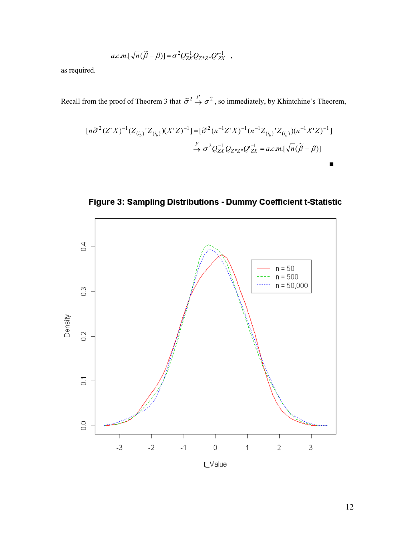$$
a.c.m.[\sqrt{n}(\widetilde{\beta}-\beta)]=\sigma^2 Q_{ZX}^{-1}Q_{Z^*Z^*}Q_{ZX}^{-1},
$$

as required.

Recall from the proof of Theorem 3 that  $\tilde{\sigma}^2 \stackrel{p}{\rightarrow} \sigma^2$ , so immediately, by Khintchine's Theorem,

$$
[n\tilde{\sigma}^{2}(Z'X)^{-1}(Z_{(i_b)}'Z_{(i_b)})(X'Z)^{-1}] = [\tilde{\sigma}^{2}(n^{-1}Z'X)^{-1}(n^{-1}Z_{(i_b)}'Z_{(i_b)})(n^{-1}X'Z)^{-1}]
$$
  
\n
$$
\xrightarrow{p} \sigma^{2}Q_{ZX}^{-1}Q_{Z*Z*}Q_{ZX}^{-1} = a.c.m.[\sqrt{n}(\tilde{\beta} - \beta)]
$$

Figure 3: Sampling Distributions - Dummy Coefficient t-Statistic

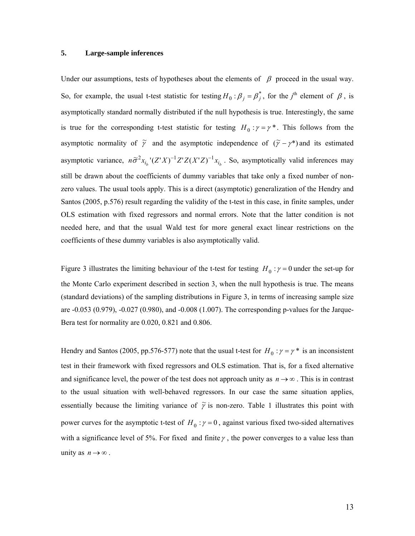### **5. Large-sample inferences**

Under our assumptions, tests of hypotheses about the elements of  $\beta$  proceed in the usual way. So, for example, the usual t-test statistic for testing  $H_0: \beta_j = \beta_j^*$ , for the *j*<sup>th</sup> element of  $\beta$ , is asymptotically standard normally distributed if the null hypothesis is true. Interestingly, the same is true for the corresponding t-test statistic for testing  $H_0: \gamma = \gamma^*$ . This follows from the asymptotic normality of  $\tilde{\gamma}$  and the asymptotic independence of  $(\tilde{\gamma} - \gamma^*)$  and its estimated asymptotic variance,  $n\tilde{\sigma}^2 x_{i_b} (Z'X)^{-1}Z'Z(X'Z)^{-1}x_{i_b}$ . So, asymptotically valid inferences may still be drawn about the coefficients of dummy variables that take only a fixed number of nonzero values. The usual tools apply. This is a direct (asymptotic) generalization of the Hendry and Santos (2005, p.576) result regarding the validity of the t-test in this case, in finite samples, under OLS estimation with fixed regressors and normal errors. Note that the latter condition is not needed here, and that the usual Wald test for more general exact linear restrictions on the coefficients of these dummy variables is also asymptotically valid.

Figure 3 illustrates the limiting behaviour of the t-test for testing  $H_0: \gamma = 0$  under the set-up for the Monte Carlo experiment described in section 3, when the null hypothesis is true. The means (standard deviations) of the sampling distributions in Figure 3, in terms of increasing sample size are -0.053 (0.979), -0.027 (0.980), and -0.008 (1.007). The corresponding p-values for the Jarque-Bera test for normality are 0.020, 0.821 and 0.806.

Hendry and Santos (2005, pp.576-577) note that the usual t-test for  $H_0: \gamma = \gamma^*$  is an inconsistent test in their framework with fixed regressors and OLS estimation. That is, for a fixed alternative and significance level, the power of the test does not approach unity as  $n \to \infty$ . This is in contrast to the usual situation with well-behaved regressors. In our case the same situation applies, essentially because the limiting variance of  $\tilde{\gamma}$  is non-zero. Table 1 illustrates this point with power curves for the asymptotic t-test of  $H_0$ :  $\gamma = 0$ , against various fixed two-sided alternatives with a significance level of 5%. For fixed and finite  $\gamma$ , the power converges to a value less than unity as  $n \to \infty$ .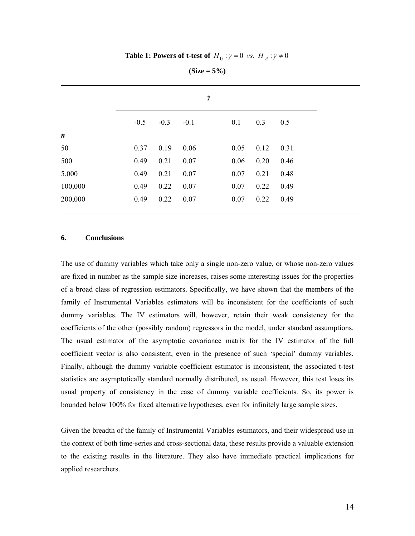|                  |        |        |        | $\gamma$ |      |      |      |  |
|------------------|--------|--------|--------|----------|------|------|------|--|
|                  | $-0.5$ | $-0.3$ | $-0.1$ |          | 0.1  | 0.3  | 0.5  |  |
| $\boldsymbol{n}$ |        |        |        |          |      |      |      |  |
| 50               | 0.37   | 0.19   | 0.06   |          | 0.05 | 0.12 | 0.31 |  |
| 500              | 0.49   | 0.21   | 0.07   |          | 0.06 | 0.20 | 0.46 |  |
| 5,000            | 0.49   | 0.21   | 0.07   |          | 0.07 | 0.21 | 0.48 |  |
| 100,000          | 0.49   | 0.22   | 0.07   |          | 0.07 | 0.22 | 0.49 |  |
| 200,000          | 0.49   | 0.22   | 0.07   |          | 0.07 | 0.22 | 0.49 |  |
|                  |        |        |        |          |      |      |      |  |

**Table 1: Powers of t-test of**  $H_0: \gamma = 0$  *vs.*  $H_A: \gamma \neq 0$ 

| (Size :<br>$5\%$ |
|------------------|
|------------------|

# **6. Conclusions**

The use of dummy variables which take only a single non-zero value, or whose non-zero values are fixed in number as the sample size increases, raises some interesting issues for the properties of a broad class of regression estimators. Specifically, we have shown that the members of the family of Instrumental Variables estimators will be inconsistent for the coefficients of such dummy variables. The IV estimators will, however, retain their weak consistency for the coefficients of the other (possibly random) regressors in the model, under standard assumptions. The usual estimator of the asymptotic covariance matrix for the IV estimator of the full coefficient vector is also consistent, even in the presence of such 'special' dummy variables. Finally, although the dummy variable coefficient estimator is inconsistent, the associated t-test statistics are asymptotically standard normally distributed, as usual. However, this test loses its usual property of consistency in the case of dummy variable coefficients. So, its power is bounded below 100% for fixed alternative hypotheses, even for infinitely large sample sizes.

Given the breadth of the family of Instrumental Variables estimators, and their widespread use in the context of both time-series and cross-sectional data, these results provide a valuable extension to the existing results in the literature. They also have immediate practical implications for applied researchers.